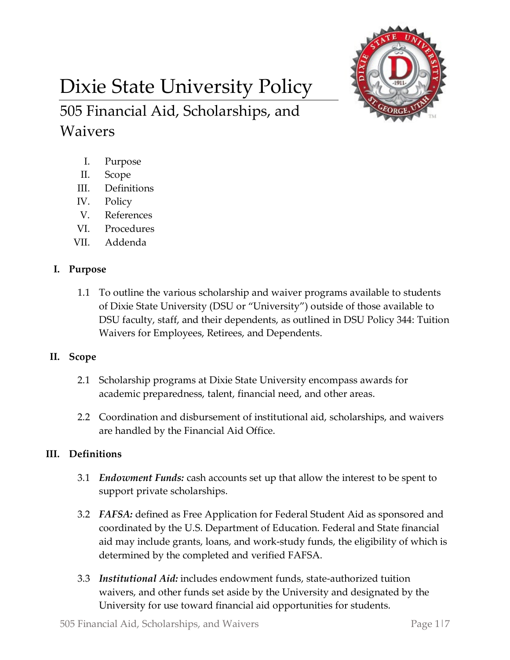

# Dixie State University Policy 505 Financial Aid, Scholarships, and Waivers

- I. Purpose
- II. Scope
- III. Definitions
- IV. Policy
- V. References
- VI. Procedures
- VII. Addenda

# **I. Purpose**

1.1 To outline the various scholarship and waiver programs available to students of Dixie State University (DSU or "University") outside of those available to DSU faculty, staff, and their dependents, as outlined in DSU Policy 344: Tuition Waivers for Employees, Retirees, and Dependents.

# **II. Scope**

- 2.1 Scholarship programs at Dixie State University encompass awards for academic preparedness, talent, financial need, and other areas.
- 2.2 Coordination and disbursement of institutional aid, scholarships, and waivers are handled by the Financial Aid Office.

# **III. Definitions**

- 3.1 *Endowment Funds:* cash accounts set up that allow the interest to be spent to support private scholarships.
- 3.2 *FAFSA:* defined as Free Application for Federal Student Aid as sponsored and coordinated by the U.S. Department of Education. Federal and State financial aid may include grants, loans, and work-study funds, the eligibility of which is determined by the completed and verified FAFSA.
- 3.3 *Institutional Aid:* includes endowment funds, state-authorized tuition waivers, and other funds set aside by the University and designated by the University for use toward financial aid opportunities for students.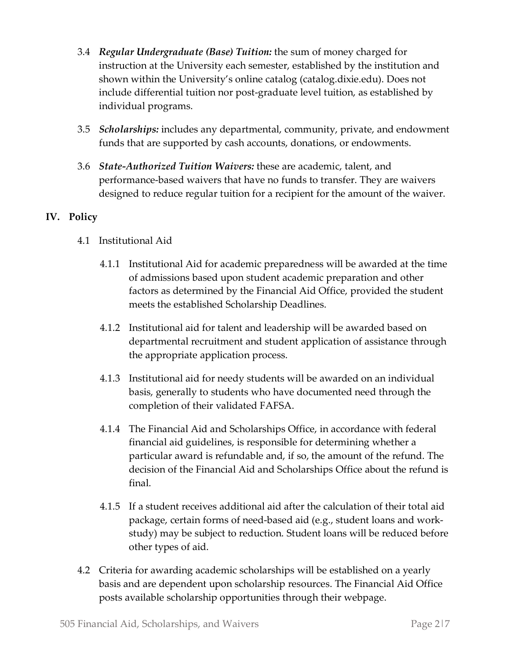- 3.4 *Regular Undergraduate (Base) Tuition:* the sum of money charged for instruction at the University each semester, established by the institution and shown within the University's online catalog (catalog.dixie.edu). Does not include differential tuition nor post-graduate level tuition, as established by individual programs.
- 3.5 *Scholarships:* includes any departmental, community, private, and endowment funds that are supported by cash accounts, donations, or endowments.
- 3.6 *State-Authorized Tuition Waivers:* these are academic, talent, and performance-based waivers that have no funds to transfer. They are waivers designed to reduce regular tuition for a recipient for the amount of the waiver.

## **IV. Policy**

- 4.1 Institutional Aid
	- 4.1.1 Institutional Aid for academic preparedness will be awarded at the time of admissions based upon student academic preparation and other factors as determined by the Financial Aid Office, provided the student meets the established Scholarship Deadlines.
	- 4.1.2 Institutional aid for talent and leadership will be awarded based on departmental recruitment and student application of assistance through the appropriate application process.
	- 4.1.3 Institutional aid for needy students will be awarded on an individual basis, generally to students who have documented need through the completion of their validated FAFSA.
	- 4.1.4 The Financial Aid and Scholarships Office, in accordance with federal financial aid guidelines, is responsible for determining whether a particular award is refundable and, if so, the amount of the refund. The decision of the Financial Aid and Scholarships Office about the refund is final.
	- 4.1.5 If a student receives additional aid after the calculation of their total aid package, certain forms of need-based aid (e.g., student loans and workstudy) may be subject to reduction. Student loans will be reduced before other types of aid.
- 4.2 Criteria for awarding academic scholarships will be established on a yearly basis and are dependent upon scholarship resources. The Financial Aid Office posts available scholarship opportunities through their webpage.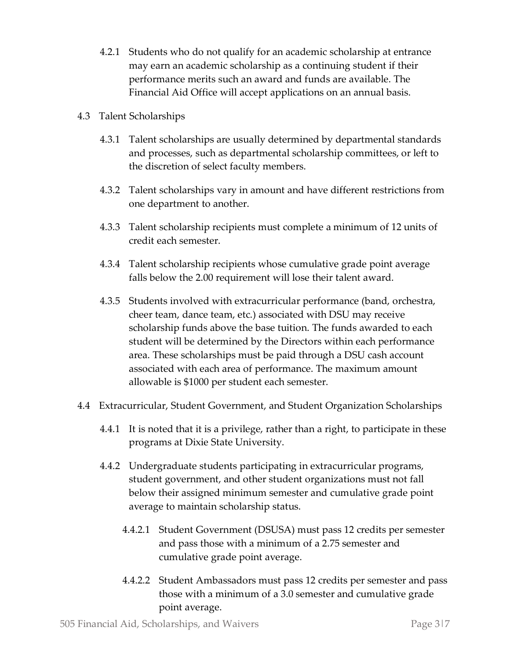- 4.2.1 Students who do not qualify for an academic scholarship at entrance may earn an academic scholarship as a continuing student if their performance merits such an award and funds are available. The Financial Aid Office will accept applications on an annual basis.
- 4.3 Talent Scholarships
	- 4.3.1 Talent scholarships are usually determined by departmental standards and processes, such as departmental scholarship committees, or left to the discretion of select faculty members.
	- 4.3.2 Talent scholarships vary in amount and have different restrictions from one department to another.
	- 4.3.3 Talent scholarship recipients must complete a minimum of 12 units of credit each semester.
	- 4.3.4 Talent scholarship recipients whose cumulative grade point average falls below the 2.00 requirement will lose their talent award.
	- 4.3.5 Students involved with extracurricular performance (band, orchestra, cheer team, dance team, etc.) associated with DSU may receive scholarship funds above the base tuition. The funds awarded to each student will be determined by the Directors within each performance area. These scholarships must be paid through a DSU cash account associated with each area of performance. The maximum amount allowable is \$1000 per student each semester.
- 4.4 Extracurricular, Student Government, and Student Organization Scholarships
	- 4.4.1 It is noted that it is a privilege, rather than a right, to participate in these programs at Dixie State University.
	- 4.4.2 Undergraduate students participating in extracurricular programs, student government, and other student organizations must not fall below their assigned minimum semester and cumulative grade point average to maintain scholarship status.
		- 4.4.2.1 Student Government (DSUSA) must pass 12 credits per semester and pass those with a minimum of a 2.75 semester and cumulative grade point average.
		- 4.4.2.2 Student Ambassadors must pass 12 credits per semester and pass those with a minimum of a 3.0 semester and cumulative grade point average.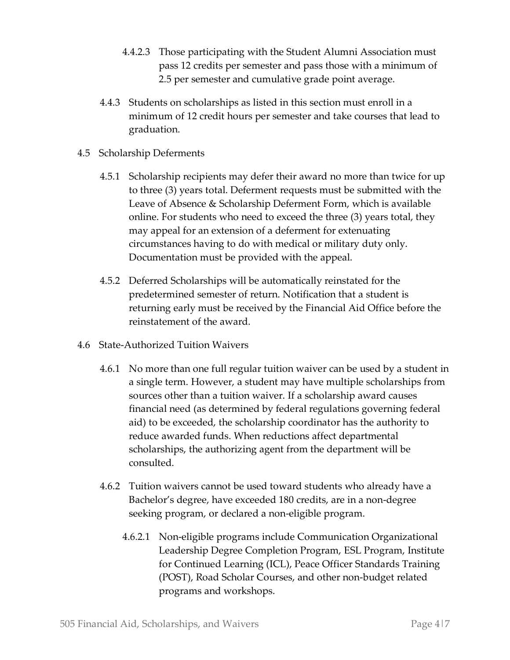- 4.4.2.3 Those participating with the Student Alumni Association must pass 12 credits per semester and pass those with a minimum of 2.5 per semester and cumulative grade point average.
- 4.4.3 Students on scholarships as listed in this section must enroll in a minimum of 12 credit hours per semester and take courses that lead to graduation.
- 4.5 Scholarship Deferments
	- 4.5.1 Scholarship recipients may defer their award no more than twice for up to three (3) years total. Deferment requests must be submitted with the Leave of Absence & Scholarship Deferment Form, which is available online. For students who need to exceed the three (3) years total, they may appeal for an extension of a deferment for extenuating circumstances having to do with medical or military duty only. Documentation must be provided with the appeal.
	- 4.5.2 Deferred Scholarships will be automatically reinstated for the predetermined semester of return. Notification that a student is returning early must be received by the Financial Aid Office before the reinstatement of the award.
- 4.6 State-Authorized Tuition Waivers
	- 4.6.1 No more than one full regular tuition waiver can be used by a student in a single term. However, a student may have multiple scholarships from sources other than a tuition waiver. If a scholarship award causes financial need (as determined by federal regulations governing federal aid) to be exceeded, the scholarship coordinator has the authority to reduce awarded funds. When reductions affect departmental scholarships, the authorizing agent from the department will be consulted.
	- 4.6.2 Tuition waivers cannot be used toward students who already have a Bachelor's degree, have exceeded 180 credits, are in a non-degree seeking program, or declared a non-eligible program.
		- 4.6.2.1 Non-eligible programs include Communication Organizational Leadership Degree Completion Program, ESL Program, Institute for Continued Learning (ICL), Peace Officer Standards Training (POST), Road Scholar Courses, and other non-budget related programs and workshops.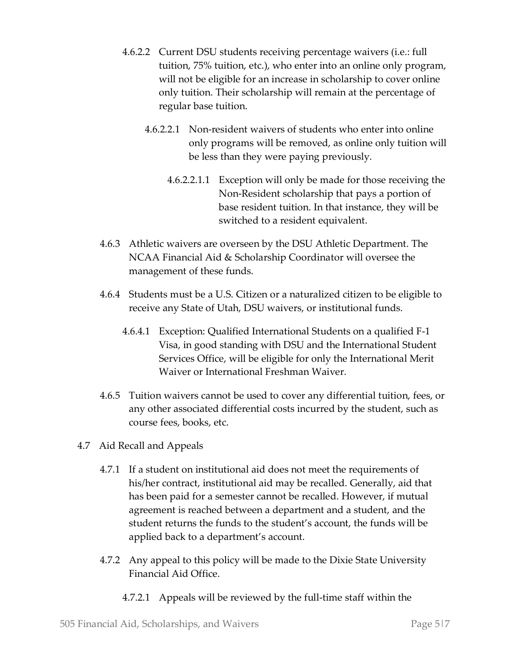- 4.6.2.2 Current DSU students receiving percentage waivers (i.e.: full tuition, 75% tuition, etc.), who enter into an online only program, will not be eligible for an increase in scholarship to cover online only tuition. Their scholarship will remain at the percentage of regular base tuition.
	- 4.6.2.2.1 Non-resident waivers of students who enter into online only programs will be removed, as online only tuition will be less than they were paying previously.
		- 4.6.2.2.1.1 Exception will only be made for those receiving the Non-Resident scholarship that pays a portion of base resident tuition. In that instance, they will be switched to a resident equivalent.
- 4.6.3 Athletic waivers are overseen by the DSU Athletic Department. The NCAA Financial Aid & Scholarship Coordinator will oversee the management of these funds.
- 4.6.4 Students must be a U.S. Citizen or a naturalized citizen to be eligible to receive any State of Utah, DSU waivers, or institutional funds.
	- 4.6.4.1 Exception: Qualified International Students on a qualified F-1 Visa, in good standing with DSU and the International Student Services Office, will be eligible for only the International Merit Waiver or International Freshman Waiver.
- 4.6.5 Tuition waivers cannot be used to cover any differential tuition, fees, or any other associated differential costs incurred by the student, such as course fees, books, etc.
- 4.7 Aid Recall and Appeals
	- 4.7.1 If a student on institutional aid does not meet the requirements of his/her contract, institutional aid may be recalled. Generally, aid that has been paid for a semester cannot be recalled. However, if mutual agreement is reached between a department and a student, and the student returns the funds to the student's account, the funds will be applied back to a department's account.
	- 4.7.2 Any appeal to this policy will be made to the Dixie State University Financial Aid Office.
		- 4.7.2.1 Appeals will be reviewed by the full-time staff within the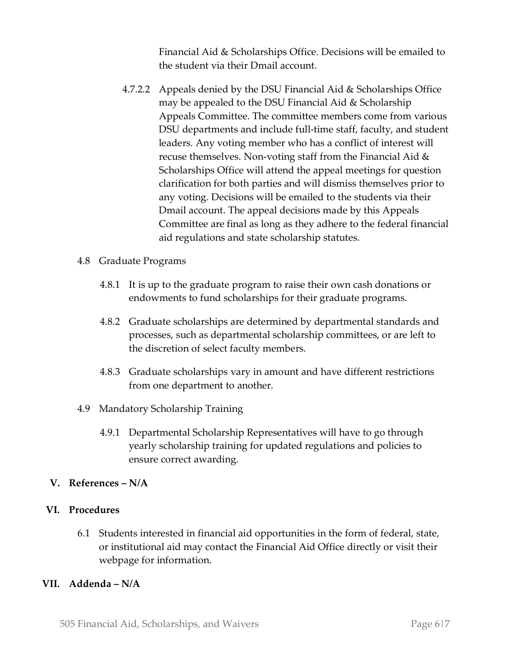Financial Aid & Scholarships Office. Decisions will be emailed to the student via their Dmail account.

- 4.7.2.2 Appeals denied by the DSU Financial Aid & Scholarships Office may be appealed to the DSU Financial Aid & Scholarship Appeals Committee. The committee members come from various DSU departments and include full-time staff, faculty, and student leaders. Any voting member who has a conflict of interest will recuse themselves. Non-voting staff from the Financial Aid & Scholarships Office will attend the appeal meetings for question clarification for both parties and will dismiss themselves prior to any voting. Decisions will be emailed to the students via their Dmail account. The appeal decisions made by this Appeals Committee are final as long as they adhere to the federal financial aid regulations and state scholarship statutes.
- 4.8 Graduate Programs
	- 4.8.1 It is up to the graduate program to raise their own cash donations or endowments to fund scholarships for their graduate programs.
	- 4.8.2 Graduate scholarships are determined by departmental standards and processes, such as departmental scholarship committees, or are left to the discretion of select faculty members.
	- 4.8.3 Graduate scholarships vary in amount and have different restrictions from one department to another.
- 4.9 Mandatory Scholarship Training
	- 4.9.1 Departmental Scholarship Representatives will have to go through yearly scholarship training for updated regulations and policies to ensure correct awarding.

#### **V. References – N/A**

#### **VI. Procedures**

6.1 Students interested in financial aid opportunities in the form of federal, state, or institutional aid may contact the Financial Aid Office directly or visit their webpage for information.

### **VII. Addenda – N/A**